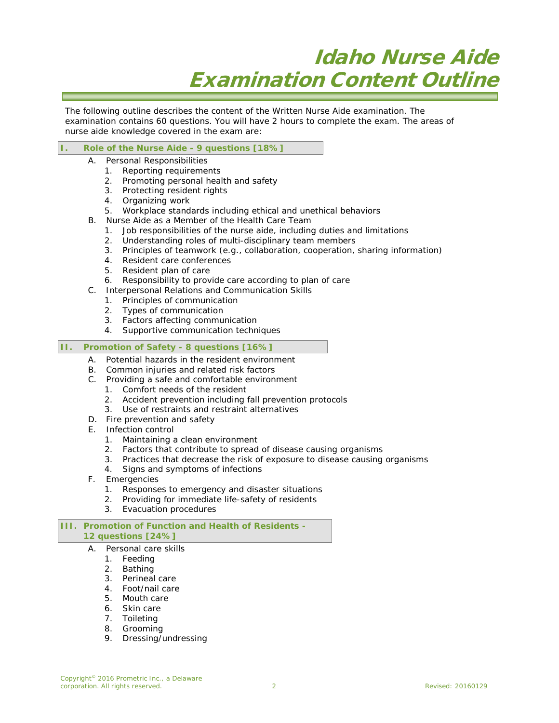# Idaho Nurse Aide Examination Content Outline

The following outline describes the content of the Written Nurse Aide examination. The examination contains 60 questions. You will have 2 hours to complete the exam. The areas of nurse aide knowledge covered in the exam are:

## **I. Role of the Nurse Aide - 9 questions [18%]**

- A. Personal Responsibilities
	- 1. Reporting requirements
	- 2. Promoting personal health and safety
	- 3. Protecting resident rights
	- 4. Organizing work
	- 5. Workplace standards including ethical and unethical behaviors
- B. Nurse Aide as a Member of the Health Care Team
	- 1. Job responsibilities of the nurse aide, including duties and limitations
	-
	- 2. Understanding roles of multi-disciplinary team members<br>3. Principles of teamwork (e.g., collaboration, cooperation, Principles of teamwork (e.g., collaboration, cooperation, sharing information)
	- 4. Resident care conferences<br>5. Resident plan of care
	- Resident plan of care
	- 6. Responsibility to provide care according to plan of care
- C. Interpersonal Relations and Communication Skills
	- 1. Principles of communication
	- 2. Types of communication
	- 3. Factors affecting communication
	- 4. Supportive communication techniques

### **II. Promotion of Safety - 8 questions [16%]**

- A. Potential hazards in the resident environment
- B. Common injuries and related risk factors
- C. Providing a safe and comfortable environment
	- 1. Comfort needs of the resident
	- 2. Accident prevention including fall prevention protocols
	- 3. Use of restraints and restraint alternatives
- D. Fire prevention and safety
- E. Infection control
	- 1. Maintaining a clean environment
	- 2. Factors that contribute to spread of disease causing organisms
	- 3. Practices that decrease the risk of exposure to disease causing organisms
	- 4. Signs and symptoms of infections
- F. Emergencies
	- 1. Responses to emergency and disaster situations
	- 2. Providing for immediate life-safety of residents
	- 3. Evacuation procedures

#### **III. Promotion of Function and Health of Residents - 12 questions [24%]**

- A. Personal care skills
	-
	- 1. Feeding<br>2. Bathing **Bathing**
	- 3. Perineal care
	- 4. Foot/nail care
	- 5. Mouth care
	- 6. Skin care
	- 7. Toileting
	- 8. Grooming
	- 9. Dressing/undressing